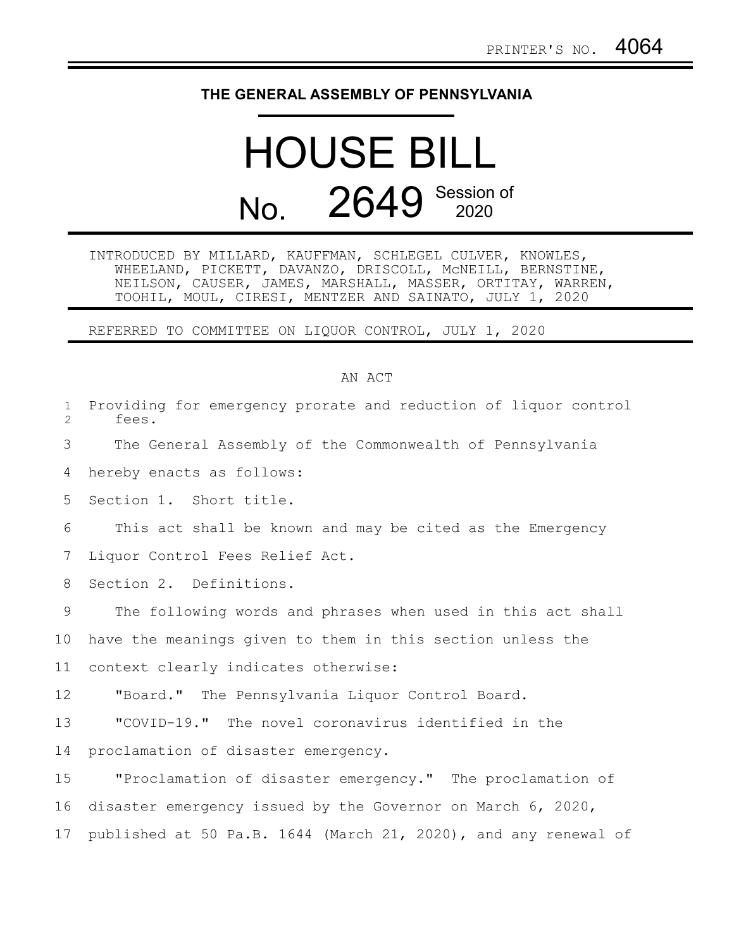## **THE GENERAL ASSEMBLY OF PENNSYLVANIA**

## HOUSE BILL No. 2649 Session of

INTRODUCED BY MILLARD, KAUFFMAN, SCHLEGEL CULVER, KNOWLES, WHEELAND, PICKETT, DAVANZO, DRISCOLL, McNEILL, BERNSTINE, NEILSON, CAUSER, JAMES, MARSHALL, MASSER, ORTITAY, WARREN, TOOHIL, MOUL, CIRESI, MENTZER AND SAINATO, JULY 1, 2020

REFERRED TO COMMITTEE ON LIQUOR CONTROL, JULY 1, 2020

## AN ACT

| $\mathbf{1}$<br>$\overline{2}$ | Providing for emergency prorate and reduction of liquor control<br>fees. |
|--------------------------------|--------------------------------------------------------------------------|
| 3                              | The General Assembly of the Commonwealth of Pennsylvania                 |
| 4                              | hereby enacts as follows:                                                |
| 5                              | Section 1. Short title.                                                  |
| 6                              | This act shall be known and may be cited as the Emergency                |
| 7                              | Liquor Control Fees Relief Act.                                          |
| 8                              | Section 2. Definitions.                                                  |
| 9                              | The following words and phrases when used in this act shall              |
| 10                             | have the meanings given to them in this section unless the               |
| 11                             | context clearly indicates otherwise:                                     |
| 12                             | "Board." The Pennsylvania Liquor Control Board.                          |
| 13                             | "COVID-19." The novel coronavirus identified in the                      |
| 14                             | proclamation of disaster emergency.                                      |
| 15                             | "Proclamation of disaster emergency." The proclamation of                |
| 16                             | disaster emergency issued by the Governor on March 6, 2020,              |
| 17                             | published at 50 Pa.B. 1644 (March 21, 2020), and any renewal of          |
|                                |                                                                          |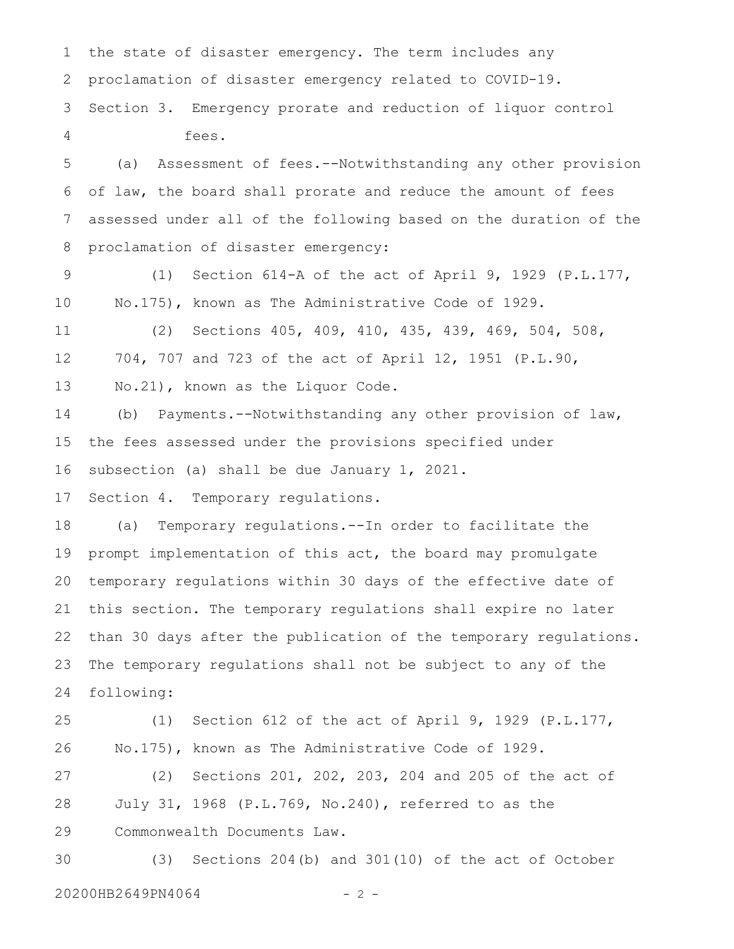the state of disaster emergency. The term includes any proclamation of disaster emergency related to COVID-19. Section 3. Emergency prorate and reduction of liquor control fees. (a) Assessment of fees.--Notwithstanding any other provision of law, the board shall prorate and reduce the amount of fees assessed under all of the following based on the duration of the proclamation of disaster emergency: (1) Section 614-A of the act of April 9, 1929 (P.L.177, No.175), known as The Administrative Code of 1929. (2) Sections 405, 409, 410, 435, 439, 469, 504, 508, 704, 707 and 723 of the act of April 12, 1951 (P.L.90, No.21), known as the Liquor Code. (b) Payments.--Notwithstanding any other provision of law, the fees assessed under the provisions specified under subsection (a) shall be due January 1, 2021. Section 4. Temporary regulations. (a) Temporary regulations.--In order to facilitate the prompt implementation of this act, the board may promulgate temporary regulations within 30 days of the effective date of this section. The temporary regulations shall expire no later than 30 days after the publication of the temporary regulations. The temporary regulations shall not be subject to any of the following: (1) Section 612 of the act of April 9, 1929 (P.L.177, No.175), known as The Administrative Code of 1929. (2) Sections 201, 202, 203, 204 and 205 of the act of July 31, 1968 (P.L.769, No.240), referred to as the Commonwealth Documents Law. (3) Sections 204(b) and 301(10) of the act of October 1 2 3 4 5 6 7 8 9 10 11 12 13 14 15 16 17 18 19 20 21 22 23 24 25 26 27 28 29 30

20200HB2649PN4064 - 2 -